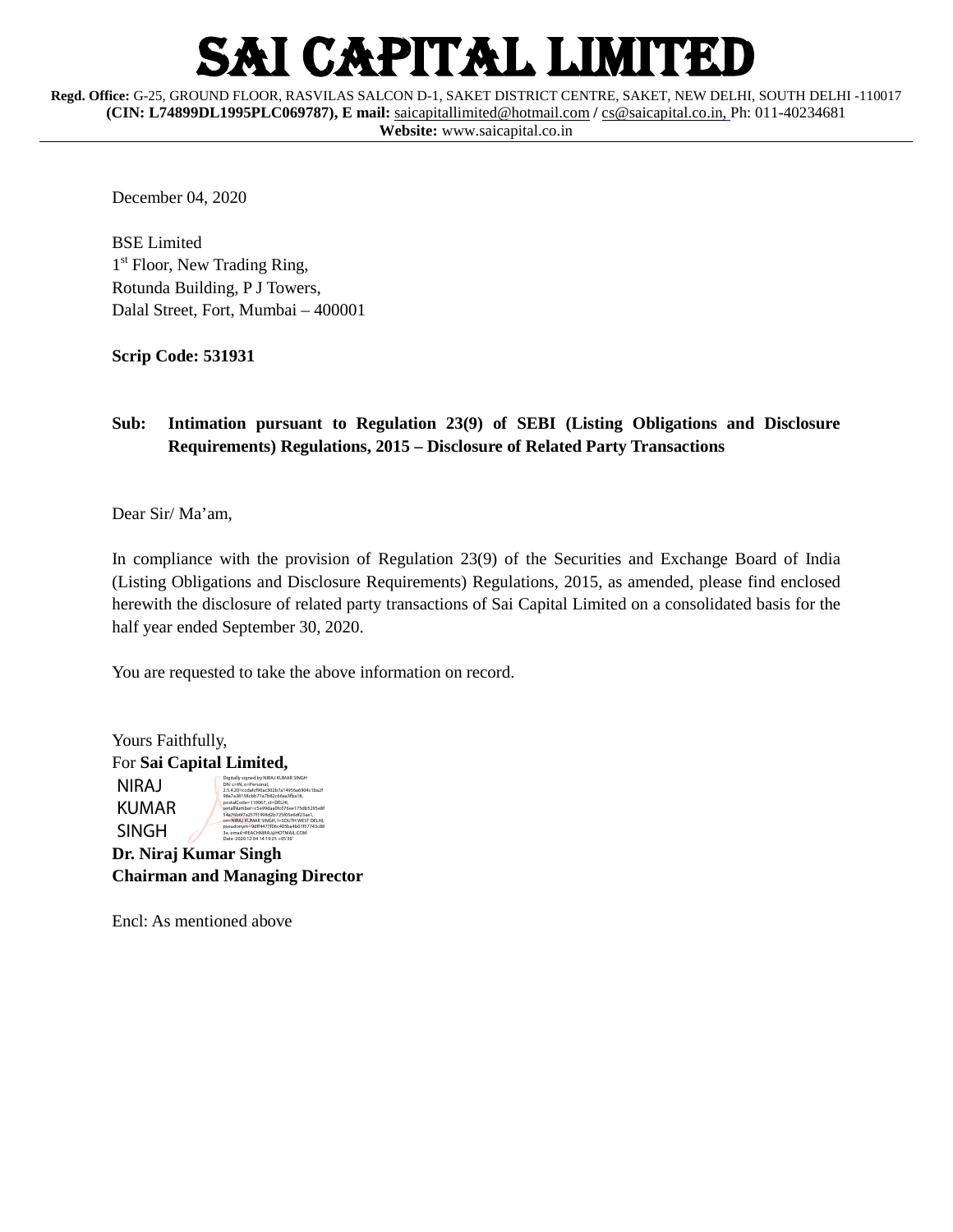## I CAPITAL LIMITED

**Regd. Office:** G-25, GROUND FLOOR, RASVILAS SALCON D-1, SAKET DISTRICT CENTRE, SAKET, NEW DELHI, SOUTH DELHI -110017 **(CIN: L74899DL1995PLC069787), E mail:** [saicapitallimited@hotmail.com](mailto:saicapitallimited@hotmail.com) **/** [cs@saicapital.co.in,](mailto:cs@saicapital.co.in) Ph: 011-40234681

**Website:** www.saicapital.co.in

December 04, 2020

BSE Limited 1<sup>st</sup> Floor, New Trading Ring, Rotunda Building, P J Towers, Dalal Street, Fort, Mumbai – 400001

**Scrip Code: 531931**

#### **Sub: Intimation pursuant to Regulation 23(9) of SEBI (Listing Obligations and Disclosure Requirements) Regulations, 2015 – Disclosure of Related Party Transactions**

Dear Sir/ Ma'am,

In compliance with the provision of Regulation 23(9) of the Securities and Exchange Board of India (Listing Obligations and Disclosure Requirements) Regulations, 2015, as amended, please find enclosed herewith the disclosure of related party transactions of Sai Capital Limited on a consolidated basis for the half year ended September 30, 2020.

You are requested to take the above information on record.

| Yours Faithfully,        |                                                                                                                                                                                                                              |  |  |  |  |  |  |
|--------------------------|------------------------------------------------------------------------------------------------------------------------------------------------------------------------------------------------------------------------------|--|--|--|--|--|--|
| For Sai Capital Limited, |                                                                                                                                                                                                                              |  |  |  |  |  |  |
| NIRAJ<br>KUMAR           | Digitally signed by NIRAJ KUMAR SINGH<br>DN: c=IN, o=Personal.<br>2.5.4.20=ccdafcf90ac302b7a14956a6904c1ba2f<br>98a7a38158cbb71a7b82c66aa3fba18.<br>postalCode=110067.st=DELHI.<br>serialNumber=cSe99daa0fc076ee175db5295e8f |  |  |  |  |  |  |
| SINGH                    | 54a76b6f7a257f1998d2b725f05e6df23ae1.<br>cn=NIRAJ KUMAR SINGH, I=SOUTH WEST DELHI.<br>pseudonym=9dff4477f06c405ba4b01f57743c88<br>3e. email=REACHNIRAJ@HOTMAIL.COM<br>Date: 2020.12.04 14:19:25 +05'30'                      |  |  |  |  |  |  |
| Dr. Niraj Kumar Singh    |                                                                                                                                                                                                                              |  |  |  |  |  |  |

| <b>Chairman and Managing Director</b> |  |  |
|---------------------------------------|--|--|

Encl: As mentioned above